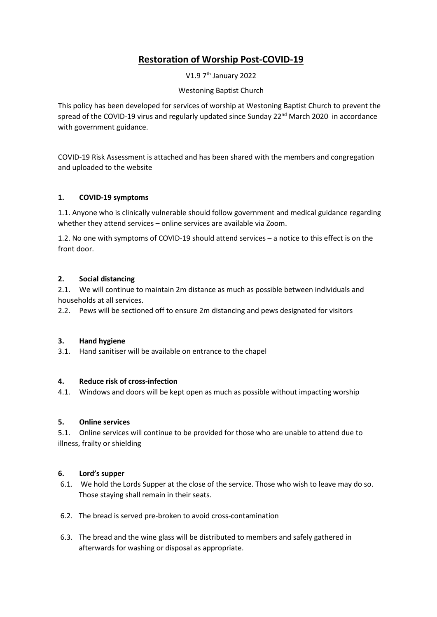# **Restoration of Worship Post-COVID-19**

V1.9 7th January 2022

# Westoning Baptist Church

This policy has been developed for services of worship at Westoning Baptist Church to prevent the spread of the COVID-19 virus and regularly updated since Sunday 22<sup>nd</sup> March 2020 in accordance with government guidance.

COVID-19 Risk Assessment is attached and has been shared with the members and congregation and uploaded to the website

# **1. COVID-19 symptoms**

1.1. Anyone who is clinically vulnerable should follow government and medical guidance regarding whether they attend services – online services are available via Zoom.

1.2. No one with symptoms of COVID-19 should attend services – a notice to this effect is on the front door.

## **2. Social distancing**

2.1. We will continue to maintain 2m distance as much as possible between individuals and households at all services.

2.2. Pews will be sectioned off to ensure 2m distancing and pews designated for visitors

## **3. Hand hygiene**

3.1. Hand sanitiser will be available on entrance to the chapel

#### **4. Reduce risk of cross-infection**

4.1. Windows and doors will be kept open as much as possible without impacting worship

#### **5. Online services**

5.1. Online services will continue to be provided for those who are unable to attend due to illness, frailty or shielding

#### **6. Lord's supper**

- 6.1. We hold the Lords Supper at the close of the service. Those who wish to leave may do so. Those staying shall remain in their seats.
- 6.2. The bread is served pre-broken to avoid cross-contamination
- 6.3. The bread and the wine glass will be distributed to members and safely gathered in afterwards for washing or disposal as appropriate.